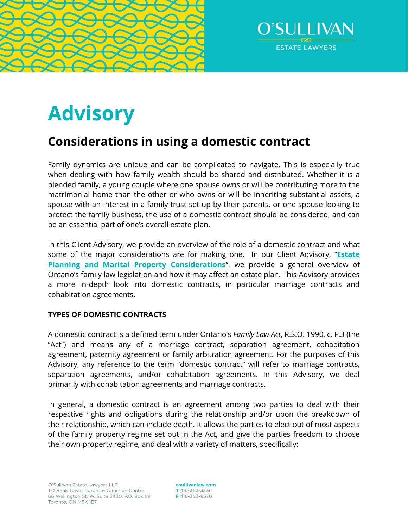



# **Advisory**

# **Considerations in using a domestic contract**

Family dynamics are unique and can be complicated to navigate. This is especially true when dealing with how family wealth should be shared and distributed. Whether it is a blended family, a young couple where one spouse owns or will be contributing more to the matrimonial home than the other or who owns or will be inheriting substantial assets, a spouse with an interest in a family trust set up by their parents, or one spouse looking to protect the family business, the use of a domestic contract should be considered, and can be an essential part of one's overall estate plan.

In this Client Advisory, we provide an overview of the role of a domestic contract and what some of the major considerations are for making one. In our Client Advisory, "**[Estate](https://www.osullivanlaw.com/wp-content/uploads/2020/02/Estate-Planning-And-Martial-Property-Considerations.pdf)  [Planning and Marital Property Considerations](https://www.osullivanlaw.com/wp-content/uploads/2020/02/Estate-Planning-And-Martial-Property-Considerations.pdf)**", we provide a general overview of Ontario's family law legislation and how it may affect an estate plan. This Advisory provides a more in-depth look into domestic contracts, in particular marriage contracts and cohabitation agreements.

# **TYPES OF DOMESTIC CONTRACTS**

A domestic contract is a defined term under Ontario's *Family Law Act*, R.S.O. 1990, c. F.3 (the "Act") and means any of a marriage contract, separation agreement, cohabitation agreement, paternity agreement or family arbitration agreement. For the purposes of this Advisory, any reference to the term "domestic contract" will refer to marriage contracts, separation agreements, and/or cohabitation agreements. In this Advisory, we deal primarily with cohabitation agreements and marriage contracts.

In general, a domestic contract is an agreement among two parties to deal with their respective rights and obligations during the relationship and/or upon the breakdown of their relationship, which can include death. It allows the parties to elect out of most aspects of the family property regime set out in the Act, and give the parties freedom to choose their own property regime, and deal with a variety of matters, specifically:

osullivanlaw.com T 416-363-3336 F416-363-9570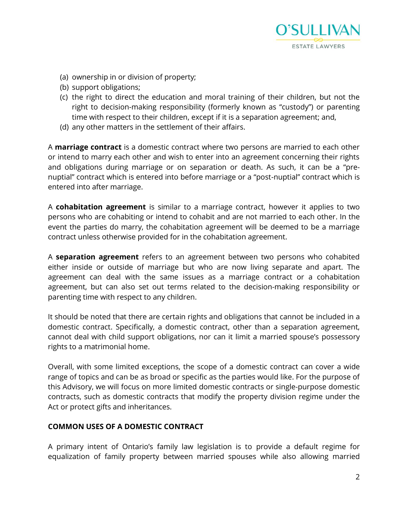

- (a) ownership in or division of property;
- (b) support obligations;
- (c) the right to direct the education and moral training of their children, but not the right to decision-making responsibility (formerly known as "custody") or parenting time with respect to their children, except if it is a separation agreement; and,
- (d) any other matters in the settlement of their affairs.

A **marriage contract** is a domestic contract where two persons are married to each other or intend to marry each other and wish to enter into an agreement concerning their rights and obligations during marriage or on separation or death. As such, it can be a "prenuptial" contract which is entered into before marriage or a "post-nuptial" contract which is entered into after marriage.

A **cohabitation agreement** is similar to a marriage contract, however it applies to two persons who are cohabiting or intend to cohabit and are not married to each other. In the event the parties do marry, the cohabitation agreement will be deemed to be a marriage contract unless otherwise provided for in the cohabitation agreement.

A **separation agreement** refers to an agreement between two persons who cohabited either inside or outside of marriage but who are now living separate and apart. The agreement can deal with the same issues as a marriage contract or a cohabitation agreement, but can also set out terms related to the decision-making responsibility or parenting time with respect to any children.

It should be noted that there are certain rights and obligations that cannot be included in a domestic contract. Specifically, a domestic contract, other than a separation agreement, cannot deal with child support obligations, nor can it limit a married spouse's possessory rights to a matrimonial home.

Overall, with some limited exceptions, the scope of a domestic contract can cover a wide range of topics and can be as broad or specific as the parties would like. For the purpose of this Advisory, we will focus on more limited domestic contracts or single-purpose domestic contracts, such as domestic contracts that modify the property division regime under the Act or protect gifts and inheritances.

# **COMMON USES OF A DOMESTIC CONTRACT**

A primary intent of Ontario's family law legislation is to provide a default regime for equalization of family property between married spouses while also allowing married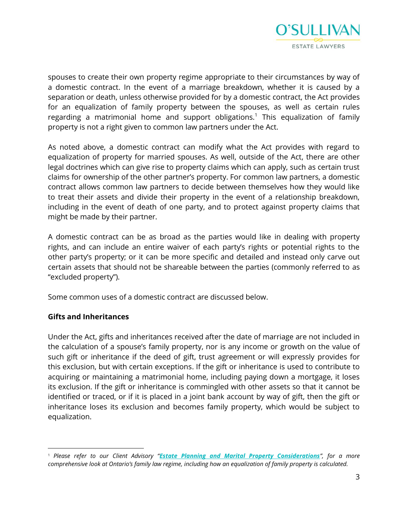

spouses to create their own property regime appropriate to their circumstances by way of a domestic contract. In the event of a marriage breakdown, whether it is caused by a separation or death, unless otherwise provided for by a domestic contract, the Act provides for an equalization of family property between the spouses, as well as certain rules regarding a matrimonial home and support obligations.<sup>1</sup> This equalization of family property is not a right given to common law partners under the Act.

As noted above, a domestic contract can modify what the Act provides with regard to equalization of property for married spouses. As well, outside of the Act, there are other legal doctrines which can give rise to property claims which can apply, such as certain trust claims for ownership of the other partner's property. For common law partners, a domestic contract allows common law partners to decide between themselves how they would like to treat their assets and divide their property in the event of a relationship breakdown, including in the event of death of one party, and to protect against property claims that might be made by their partner.

A domestic contract can be as broad as the parties would like in dealing with property rights, and can include an entire waiver of each party's rights or potential rights to the other party's property; or it can be more specific and detailed and instead only carve out certain assets that should not be shareable between the parties (commonly referred to as "excluded property").

Some common uses of a domestic contract are discussed below.

# **Gifts and Inheritances**

Under the Act, gifts and inheritances received after the date of marriage are not included in the calculation of a spouse's family property, nor is any income or growth on the value of such gift or inheritance if the deed of gift, trust agreement or will expressly provides for this exclusion, but with certain exceptions. If the gift or inheritance is used to contribute to acquiring or maintaining a matrimonial home, including paying down a mortgage, it loses its exclusion. If the gift or inheritance is commingled with other assets so that it cannot be identified or traced, or if it is placed in a joint bank account by way of gift, then the gift or inheritance loses its exclusion and becomes family property, which would be subject to equalization.

<sup>1</sup> *Please refer to our Client Advisory "[Estate Planning and Marital Property Considerations](https://www.osullivanlaw.com/wp-content/uploads/2020/02/Estate-Planning-And-Martial-Property-Considerations.pdf)", for a more comprehensive look at Ontario's family law regime, including how an equalization of family property is calculated.*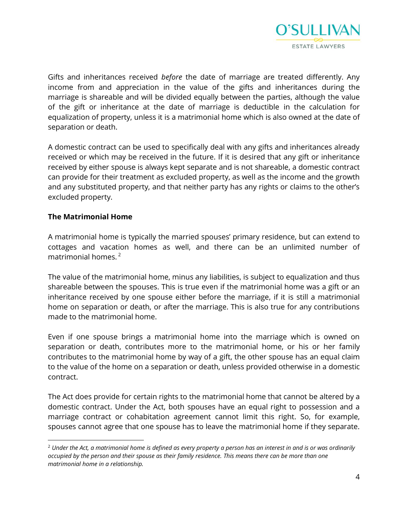

Gifts and inheritances received *before* the date of marriage are treated differently. Any income from and appreciation in the value of the gifts and inheritances during the marriage is shareable and will be divided equally between the parties, although the value of the gift or inheritance at the date of marriage is deductible in the calculation for equalization of property, unless it is a matrimonial home which is also owned at the date of separation or death.

A domestic contract can be used to specifically deal with any gifts and inheritances already received or which may be received in the future. If it is desired that any gift or inheritance received by either spouse is always kept separate and is not shareable, a domestic contract can provide for their treatment as excluded property, as well as the income and the growth and any substituted property, and that neither party has any rights or claims to the other's excluded property.

#### **The Matrimonial Home**

A matrimonial home is typically the married spouses' primary residence, but can extend to cottages and vacation homes as well, and there can be an unlimited number of matrimonial homes.<sup>2</sup>

The value of the matrimonial home, minus any liabilities, is subject to equalization and thus shareable between the spouses. This is true even if the matrimonial home was a gift or an inheritance received by one spouse either before the marriage, if it is still a matrimonial home on separation or death, or after the marriage. This is also true for any contributions made to the matrimonial home.

Even if one spouse brings a matrimonial home into the marriage which is owned on separation or death, contributes more to the matrimonial home, or his or her family contributes to the matrimonial home by way of a gift, the other spouse has an equal claim to the value of the home on a separation or death, unless provided otherwise in a domestic contract.

The Act does provide for certain rights to the matrimonial home that cannot be altered by a domestic contract. Under the Act, both spouses have an equal right to possession and a marriage contract or cohabitation agreement cannot limit this right. So, for example, spouses cannot agree that one spouse has to leave the matrimonial home if they separate.

<sup>2</sup> *Under the Act, a matrimonial home is defined as every property a person has an interest in and is or was ordinarily occupied by the person and their spouse as their family residence. This means there can be more than one matrimonial home in a relationship.*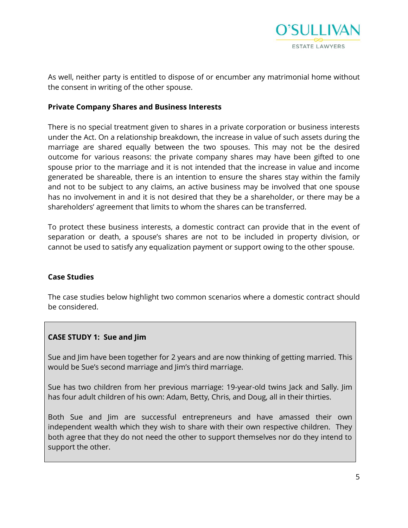

As well, neither party is entitled to dispose of or encumber any matrimonial home without the consent in writing of the other spouse.

#### **Private Company Shares and Business Interests**

There is no special treatment given to shares in a private corporation or business interests under the Act. On a relationship breakdown, the increase in value of such assets during the marriage are shared equally between the two spouses. This may not be the desired outcome for various reasons: the private company shares may have been gifted to one spouse prior to the marriage and it is not intended that the increase in value and income generated be shareable, there is an intention to ensure the shares stay within the family and not to be subject to any claims, an active business may be involved that one spouse has no involvement in and it is not desired that they be a shareholder, or there may be a shareholders' agreement that limits to whom the shares can be transferred.

To protect these business interests, a domestic contract can provide that in the event of separation or death, a spouse's shares are not to be included in property division, or cannot be used to satisfy any equalization payment or support owing to the other spouse.

#### **Case Studies**

The case studies below highlight two common scenarios where a domestic contract should be considered.

# **CASE STUDY 1: Sue and Jim**

Sue and Jim have been together for 2 years and are now thinking of getting married. This would be Sue's second marriage and Jim's third marriage.

Sue has two children from her previous marriage: 19-year-old twins Jack and Sally. Jim has four adult children of his own: Adam, Betty, Chris, and Doug, all in their thirties.

Both Sue and Jim are successful entrepreneurs and have amassed their own independent wealth which they wish to share with their own respective children. They both agree that they do not need the other to support themselves nor do they intend to support the other.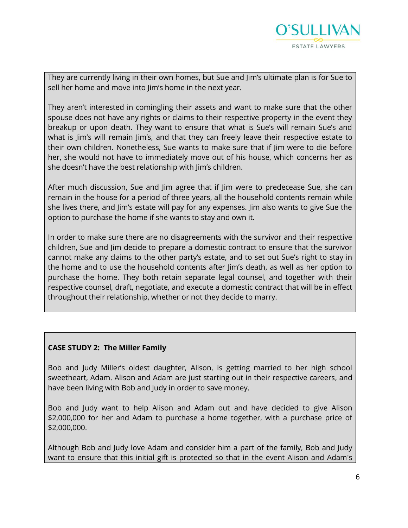

They are currently living in their own homes, but Sue and Jim's ultimate plan is for Sue to sell her home and move into Jim's home in the next year.

They aren't interested in comingling their assets and want to make sure that the other spouse does not have any rights or claims to their respective property in the event they breakup or upon death. They want to ensure that what is Sue's will remain Sue's and what is Jim's will remain Jim's, and that they can freely leave their respective estate to their own children. Nonetheless, Sue wants to make sure that if Jim were to die before her, she would not have to immediately move out of his house, which concerns her as she doesn't have the best relationship with Jim's children.

After much discussion, Sue and Jim agree that if Jim were to predecease Sue, she can remain in the house for a period of three years, all the household contents remain while she lives there, and Jim's estate will pay for any expenses. Jim also wants to give Sue the option to purchase the home if she wants to stay and own it.

In order to make sure there are no disagreements with the survivor and their respective children, Sue and Jim decide to prepare a domestic contract to ensure that the survivor cannot make any claims to the other party's estate, and to set out Sue's right to stay in the home and to use the household contents after Jim's death, as well as her option to purchase the home. They both retain separate legal counsel, and together with their respective counsel, draft, negotiate, and execute a domestic contract that will be in effect throughout their relationship, whether or not they decide to marry.

#### **CASE STUDY 2: The Miller Family**

Bob and Judy Miller's oldest daughter, Alison, is getting married to her high school sweetheart, Adam. Alison and Adam are just starting out in their respective careers, and have been living with Bob and Judy in order to save money.

Bob and Judy want to help Alison and Adam out and have decided to give Alison \$2,000,000 for her and Adam to purchase a home together, with a purchase price of \$2,000,000.

Although Bob and Judy love Adam and consider him a part of the family, Bob and Judy want to ensure that this initial gift is protected so that in the event Alison and Adam's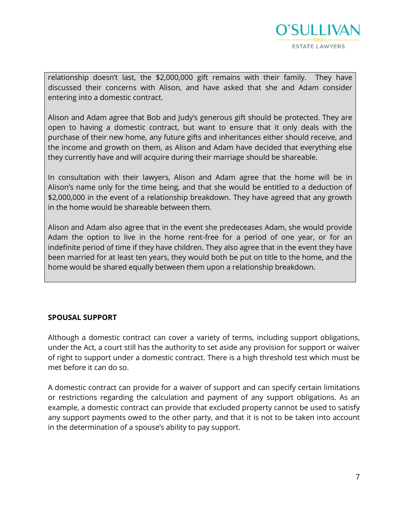

relationship doesn't last, the \$2,000,000 gift remains with their family. They have discussed their concerns with Alison, and have asked that she and Adam consider entering into a domestic contract.

Alison and Adam agree that Bob and Judy's generous gift should be protected. They are open to having a domestic contract, but want to ensure that it only deals with the purchase of their new home, any future gifts and inheritances either should receive, and the income and growth on them, as Alison and Adam have decided that everything else they currently have and will acquire during their marriage should be shareable.

In consultation with their lawyers, Alison and Adam agree that the home will be in Alison's name only for the time being, and that she would be entitled to a deduction of \$2,000,000 in the event of a relationship breakdown. They have agreed that any growth in the home would be shareable between them.

Alison and Adam also agree that in the event she predeceases Adam, she would provide Adam the option to live in the home rent-free for a period of one year, or for an indefinite period of time if they have children. They also agree that in the event they have been married for at least ten years, they would both be put on title to the home, and the home would be shared equally between them upon a relationship breakdown.

#### **SPOUSAL SUPPORT**

Although a domestic contract can cover a variety of terms, including support obligations, under the Act, a court still has the authority to set aside any provision for support or waiver of right to support under a domestic contract. There is a high threshold test which must be met before it can do so.

A domestic contract can provide for a waiver of support and can specify certain limitations or restrictions regarding the calculation and payment of any support obligations. As an example, a domestic contract can provide that excluded property cannot be used to satisfy any support payments owed to the other party, and that it is not to be taken into account in the determination of a spouse's ability to pay support.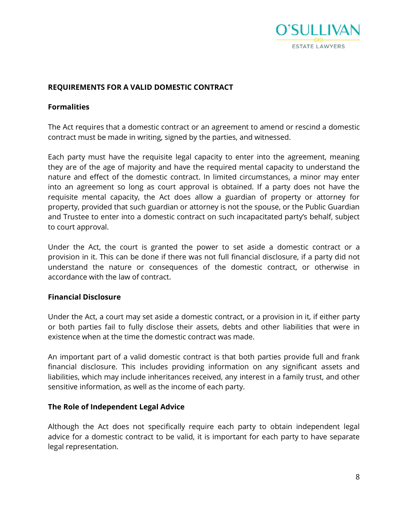

#### **REQUIREMENTS FOR A VALID DOMESTIC CONTRACT**

#### **Formalities**

The Act requires that a domestic contract or an agreement to amend or rescind a domestic contract must be made in writing, signed by the parties, and witnessed.

Each party must have the requisite legal capacity to enter into the agreement, meaning they are of the age of majority and have the required mental capacity to understand the nature and effect of the domestic contract. In limited circumstances, a minor may enter into an agreement so long as court approval is obtained. If a party does not have the requisite mental capacity, the Act does allow a guardian of property or attorney for property, provided that such guardian or attorney is not the spouse, or the Public Guardian and Trustee to enter into a domestic contract on such incapacitated party's behalf, subject to court approval.

Under the Act, the court is granted the power to set aside a domestic contract or a provision in it. This can be done if there was not full financial disclosure, if a party did not understand the nature or consequences of the domestic contract, or otherwise in accordance with the law of contract.

#### **Financial Disclosure**

Under the Act, a court may set aside a domestic contract, or a provision in it, if either party or both parties fail to fully disclose their assets, debts and other liabilities that were in existence when at the time the domestic contract was made.

An important part of a valid domestic contract is that both parties provide full and frank financial disclosure. This includes providing information on any significant assets and liabilities, which may include inheritances received, any interest in a family trust, and other sensitive information, as well as the income of each party.

#### **The Role of Independent Legal Advice**

Although the Act does not specifically require each party to obtain independent legal advice for a domestic contract to be valid, it is important for each party to have separate legal representation.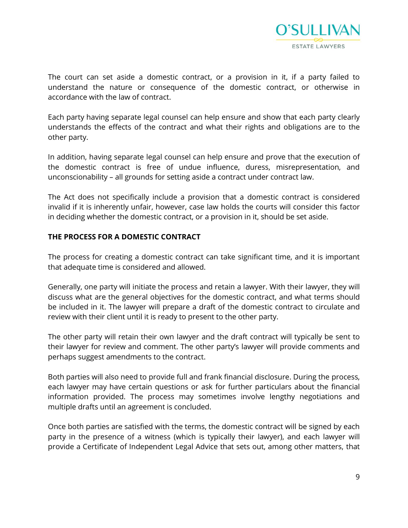

The court can set aside a domestic contract, or a provision in it, if a party failed to understand the nature or consequence of the domestic contract, or otherwise in accordance with the law of contract.

Each party having separate legal counsel can help ensure and show that each party clearly understands the effects of the contract and what their rights and obligations are to the other party.

In addition, having separate legal counsel can help ensure and prove that the execution of the domestic contract is free of undue influence, duress, misrepresentation, and unconscionability – all grounds for setting aside a contract under contract law.

The Act does not specifically include a provision that a domestic contract is considered invalid if it is inherently unfair, however, case law holds the courts will consider this factor in deciding whether the domestic contract, or a provision in it, should be set aside.

#### **THE PROCESS FOR A DOMESTIC CONTRACT**

The process for creating a domestic contract can take significant time, and it is important that adequate time is considered and allowed.

Generally, one party will initiate the process and retain a lawyer. With their lawyer, they will discuss what are the general objectives for the domestic contract, and what terms should be included in it. The lawyer will prepare a draft of the domestic contract to circulate and review with their client until it is ready to present to the other party.

The other party will retain their own lawyer and the draft contract will typically be sent to their lawyer for review and comment. The other party's lawyer will provide comments and perhaps suggest amendments to the contract.

Both parties will also need to provide full and frank financial disclosure. During the process, each lawyer may have certain questions or ask for further particulars about the financial information provided. The process may sometimes involve lengthy negotiations and multiple drafts until an agreement is concluded.

Once both parties are satisfied with the terms, the domestic contract will be signed by each party in the presence of a witness (which is typically their lawyer), and each lawyer will provide a Certificate of Independent Legal Advice that sets out, among other matters, that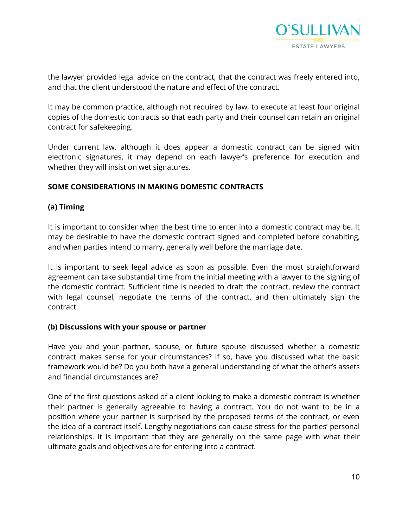

the lawyer provided legal advice on the contract, that the contract was freely entered into, and that the client understood the nature and effect of the contract.

It may be common practice, although not required by law, to execute at least four original copies of the domestic contracts so that each party and their counsel can retain an original contract for safekeeping.

Under current law, although it does appear a domestic contract can be signed with electronic signatures, it may depend on each lawyer's preference for execution and whether they will insist on wet signatures.

#### **SOME CONSIDERATIONS IN MAKING DOMESTIC CONTRACTS**

### **(a) Timing**

It is important to consider when the best time to enter into a domestic contract may be. It may be desirable to have the domestic contract signed and completed before cohabiting, and when parties intend to marry, generally well before the marriage date.

It is important to seek legal advice as soon as possible. Even the most straightforward agreement can take substantial time from the initial meeting with a lawyer to the signing of the domestic contract. Sufficient time is needed to draft the contract, review the contract with legal counsel, negotiate the terms of the contract, and then ultimately sign the contract.

#### **(b) Discussions with your spouse or partner**

Have you and your partner, spouse, or future spouse discussed whether a domestic contract makes sense for your circumstances? If so, have you discussed what the basic framework would be? Do you both have a general understanding of what the other's assets and financial circumstances are?

One of the first questions asked of a client looking to make a domestic contract is whether their partner is generally agreeable to having a contract. You do not want to be in a position where your partner is surprised by the proposed terms of the contract, or even the idea of a contract itself. Lengthy negotiations can cause stress for the parties' personal relationships. It is important that they are generally on the same page with what their ultimate goals and objectives are for entering into a contract.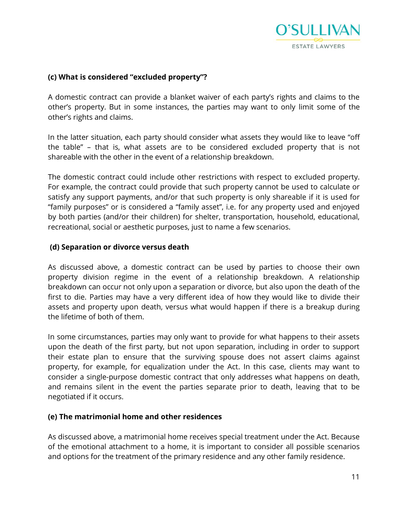

#### **(c) What is considered "excluded property"?**

A domestic contract can provide a blanket waiver of each party's rights and claims to the other's property. But in some instances, the parties may want to only limit some of the other's rights and claims.

In the latter situation, each party should consider what assets they would like to leave "off the table" – that is, what assets are to be considered excluded property that is not shareable with the other in the event of a relationship breakdown.

The domestic contract could include other restrictions with respect to excluded property. For example, the contract could provide that such property cannot be used to calculate or satisfy any support payments, and/or that such property is only shareable if it is used for "family purposes" or is considered a "family asset", i.e. for any property used and enjoyed by both parties (and/or their children) for shelter, transportation, household, educational, recreational, social or aesthetic purposes, just to name a few scenarios.

#### **(d) Separation or divorce versus death**

As discussed above, a domestic contract can be used by parties to choose their own property division regime in the event of a relationship breakdown. A relationship breakdown can occur not only upon a separation or divorce, but also upon the death of the first to die. Parties may have a very different idea of how they would like to divide their assets and property upon death, versus what would happen if there is a breakup during the lifetime of both of them.

In some circumstances, parties may only want to provide for what happens to their assets upon the death of the first party, but not upon separation, including in order to support their estate plan to ensure that the surviving spouse does not assert claims against property, for example, for equalization under the Act. In this case, clients may want to consider a single-purpose domestic contract that only addresses what happens on death, and remains silent in the event the parties separate prior to death, leaving that to be negotiated if it occurs.

#### **(e) The matrimonial home and other residences**

As discussed above, a matrimonial home receives special treatment under the Act. Because of the emotional attachment to a home, it is important to consider all possible scenarios and options for the treatment of the primary residence and any other family residence.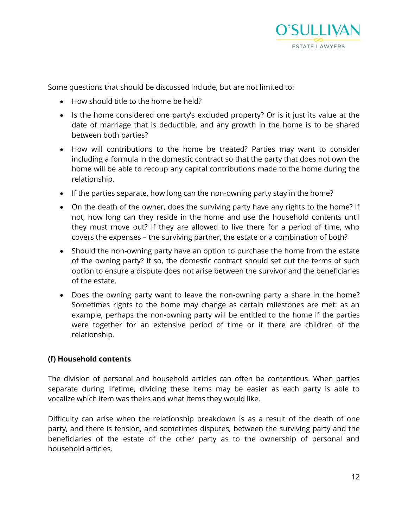

Some questions that should be discussed include, but are not limited to:

- How should title to the home be held?
- Is the home considered one party's excluded property? Or is it just its value at the date of marriage that is deductible, and any growth in the home is to be shared between both parties?
- How will contributions to the home be treated? Parties may want to consider including a formula in the domestic contract so that the party that does not own the home will be able to recoup any capital contributions made to the home during the relationship.
- If the parties separate, how long can the non-owning party stay in the home?
- On the death of the owner, does the surviving party have any rights to the home? If not, how long can they reside in the home and use the household contents until they must move out? If they are allowed to live there for a period of time, who covers the expenses – the surviving partner, the estate or a combination of both?
- Should the non-owning party have an option to purchase the home from the estate of the owning party? If so, the domestic contract should set out the terms of such option to ensure a dispute does not arise between the survivor and the beneficiaries of the estate.
- Does the owning party want to leave the non-owning party a share in the home? Sometimes rights to the home may change as certain milestones are met: as an example, perhaps the non-owning party will be entitled to the home if the parties were together for an extensive period of time or if there are children of the relationship.

#### **(f) Household contents**

The division of personal and household articles can often be contentious. When parties separate during lifetime, dividing these items may be easier as each party is able to vocalize which item was theirs and what items they would like.

Difficulty can arise when the relationship breakdown is as a result of the death of one party, and there is tension, and sometimes disputes, between the surviving party and the beneficiaries of the estate of the other party as to the ownership of personal and household articles.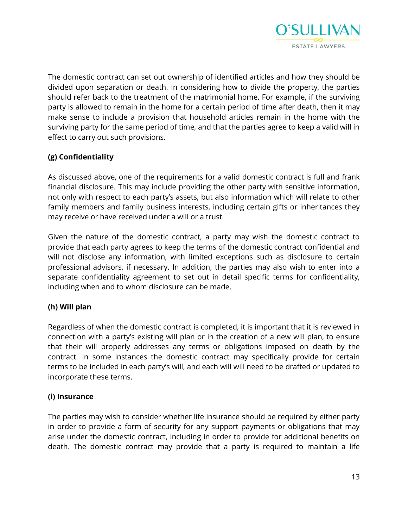

The domestic contract can set out ownership of identified articles and how they should be divided upon separation or death. In considering how to divide the property, the parties should refer back to the treatment of the matrimonial home. For example, if the surviving party is allowed to remain in the home for a certain period of time after death, then it may make sense to include a provision that household articles remain in the home with the surviving party for the same period of time, and that the parties agree to keep a valid will in effect to carry out such provisions.

# **(g) Confidentiality**

As discussed above, one of the requirements for a valid domestic contract is full and frank financial disclosure. This may include providing the other party with sensitive information, not only with respect to each party's assets, but also information which will relate to other family members and family business interests, including certain gifts or inheritances they may receive or have received under a will or a trust.

Given the nature of the domestic contract, a party may wish the domestic contract to provide that each party agrees to keep the terms of the domestic contract confidential and will not disclose any information, with limited exceptions such as disclosure to certain professional advisors, if necessary. In addition, the parties may also wish to enter into a separate confidentiality agreement to set out in detail specific terms for confidentiality, including when and to whom disclosure can be made.

# **(h) Will plan**

Regardless of when the domestic contract is completed, it is important that it is reviewed in connection with a party's existing will plan or in the creation of a new will plan, to ensure that their will properly addresses any terms or obligations imposed on death by the contract. In some instances the domestic contract may specifically provide for certain terms to be included in each party's will, and each will will need to be drafted or updated to incorporate these terms.

# **(i) Insurance**

The parties may wish to consider whether life insurance should be required by either party in order to provide a form of security for any support payments or obligations that may arise under the domestic contract, including in order to provide for additional benefits on death. The domestic contract may provide that a party is required to maintain a life